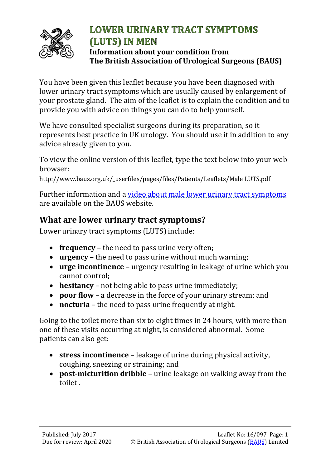

## **LOWER URINARY TRACT SYMPTOMS** (LUTS) IN MEN **Information about your condition from The British Association of Urological Surgeons (BAUS)**

You have been given this leaflet because you have been diagnosed with lower urinary tract symptoms which are usually caused by enlargement of your prostate gland. The aim of the leaflet is to explain the condition and to provide you with advice on things you can do to help yourself.

We have consulted specialist surgeons during its preparation, so it represents best practice in UK urology. You should use it in addition to any advice already given to you.

To view the online version of this leaflet, type the text below into your web browser:

http://www.baus.org.uk/\_userfiles/pages/files/Patients/Leaflets/Male LUTS.pdf

Further information and a [video about male lower urinary tract symptoms](http://www.baus.org.uk/patients/information_leaflets/181/managing_male_luts) are available on the BAUS website.

## **What are lower urinary tract symptoms?**

Lower urinary tract symptoms (LUTS) include:

- **frequency** the need to pass urine very often;
- **urgency** the need to pass urine without much warning;
- **urge incontinence** urgency resulting in leakage of urine which you cannot control;
- **hesitancy** not being able to pass urine immediately;
- **poor flow** a decrease in the force of your urinary stream; and
- **nocturia** the need to pass urine frequently at night.

Going to the toilet more than six to eight times in 24 hours, with more than one of these visits occurring at night, is considered abnormal. Some patients can also get:

- **stress incontinence** leakage of urine during physical activity, coughing, sneezing or straining; and
- **post-micturition dribble** urine leakage on walking away from the toilet .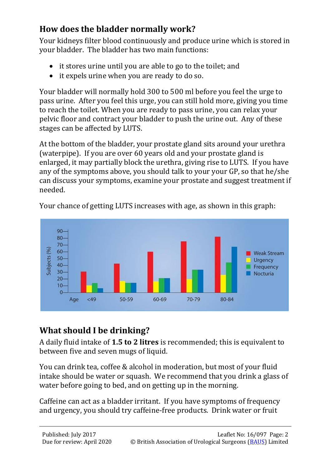# **How does the bladder normally work?**

Your kidneys filter blood continuously and produce urine which is stored in your bladder. The bladder has two main functions:

- it stores urine until you are able to go to the toilet; and
- it expels urine when you are ready to do so.

Your bladder will normally hold 300 to 500 ml before you feel the urge to pass urine. After you feel this urge, you can still hold more, giving you time to reach the toilet. When you are ready to pass urine, you can relax your pelvic floor and contract your bladder to push the urine out. Any of these stages can be affected by LUTS.

At the bottom of the bladder, your prostate gland sits around your urethra (waterpipe). If you are over 60 years old and your prostate gland is enlarged, it may partially block the urethra, giving rise to LUTS. If you have any of the symptoms above, you should talk to your your GP, so that he/she can discuss your symptoms, examine your prostate and suggest treatment if needed.



Your chance of getting LUTS increases with age, as shown in this graph:

# **What should I be drinking?**

A daily fluid intake of **1.5 to 2 litres** is recommended; this is equivalent to between five and seven mugs of liquid.

You can drink tea, coffee & alcohol in moderation, but most of your fluid intake should be water or squash. We recommend that you drink a glass of water before going to bed, and on getting up in the morning.

Caffeine can act as a bladder irritant. If you have symptoms of frequency and urgency, you should try caffeine-free products. Drink water or fruit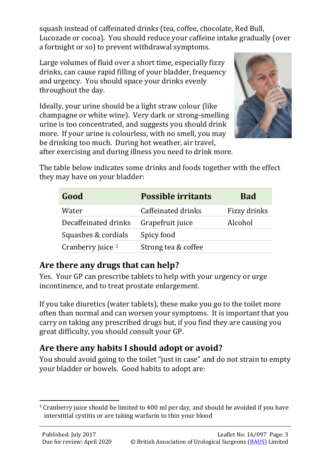squash instead of caffeinated drinks (tea, coffee, chocolate, Red Bull, Lucozade or cocoa). You should reduce your caffeine intake gradually (over a fortnight or so) to prevent withdrawal symptoms.

Large volumes of fluid over a short time, especially fizzy drinks, can cause rapid filling of your bladder, frequency and urgency. You should space your drinks evenly throughout the day.

Ideally, your urine should be a light straw colour (like champagne or white wine). Very dark or strong-smelling urine is too concentrated, and suggests you should drink more. If your urine is colourless, with no smell, you may be drinking too much. During hot weather, air travel, after exercising and during illness you need to drink more.



The table below indicates some drinks and foods together with the effect they may have on your bladder:

| Good                 | <b>Possible irritants</b> | <b>Bad</b>   |
|----------------------|---------------------------|--------------|
| Water                | Caffeinated drinks        | Fizzy drinks |
| Decaffeinated drinks | Grapefruit juice          | Alcohol      |
| Squashes & cordials  | Spicy food                |              |
| Cranberry juice 1    | Strong tea & coffee       |              |

### **Are there any drugs that can help?**

Yes. Your GP can prescribe tablets to help with your urgency or urge incontinence, and to treat prostate enlargement.

If you take diuretics (water tablets), these make you go to the toilet more often than normal and can worsen your symptoms. It is important that you carry on taking any prescribed drugs but, if you find they are causing you great difficulty, you should consult your GP.

# **Are there any habits I should adopt or avoid?**

You should avoid going to the toilet "just in case" and do not strain to empty your bladder or bowels. Good habits to adopt are:

 $\overline{a}$ **<sup>1</sup>** Cranberry juice should be limited to 400 ml per day, and should be avoided if you have interstitial cystitis or are taking warfarin to thin your blood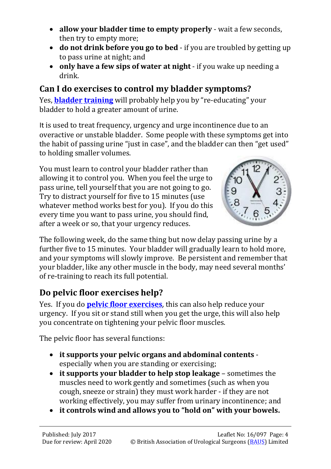- **allow your bladder time to empty properly** wait a few seconds, then try to empty more;
- **do not drink before you go to bed** if you are troubled by getting up to pass urine at night; and
- **only have a few sips of water at night**  if you wake up needing a drink.

## **Can I do exercises to control my bladder symptoms?**

Yes, **[bladder training](http://www.baus.org.uk/_userfiles/pages/files/Patients/Leaflets/Bladder%20training.pdf)** will probably help you by "re-educating" your bladder to hold a greater amount of urine.

It is used to treat frequency, urgency and urge incontinence due to an overactive or unstable bladder. Some people with these symptoms get into the habit of passing urine "just in case", and the bladder can then "get used" to holding smaller volumes.

You must learn to control your bladder rather than allowing it to control you. When you feel the urge to pass urine, tell yourself that you are not going to go. Try to distract yourself for five to 15 minutes (use whatever method works best for you). If you do this every time you want to pass urine, you should find, after a week or so, that your urgency reduces.



The following week, do the same thing but now delay passing urine by a further five to 15 minutes. Your bladder will gradually learn to hold more, and your symptoms will slowly improve. Be persistent and remember that your bladder, like any other muscle in the body, may need several months' of re-training to reach its full potential.

# **Do pelvic floor exercises help?**

Yes. If you do **[pelvic floor exercises](http://www.baus.org.uk/_userfiles/pages/files/Patients/Leaflets/Pelvic%20floor%20XS%20male.pdf)**, this can also help reduce your urgency. If you sit or stand still when you get the urge, this will also help you concentrate on tightening your pelvic floor muscles.

The pelvic floor has several functions:

- **it supports your pelvic organs and abdominal contents** especially when you are standing or exercising;
- **it supports your bladder to help stop leakage** sometimes the muscles need to work gently and sometimes (such as when you cough, sneeze or strain) they must work harder - if they are not working effectively, you may suffer from urinary incontinence; and
- **it controls wind and allows you to "hold on" with your bowels.**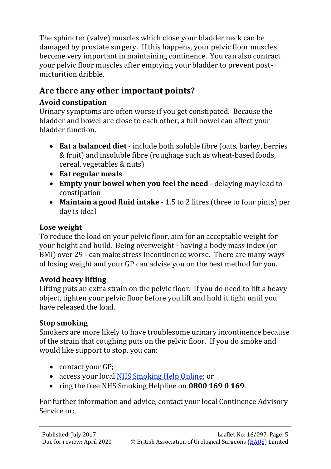The sphincter (valve) muscles which close your bladder neck can be damaged by prostate surgery. If this happens, your pelvic floor muscles become very important in maintaining continence. You can also contract your pelvic floor muscles after emptying your bladder to prevent postmicturition dribble.

## **Are there any other important points?**

#### **Avoid constipation**

Urinary symptoms are often worse if you get constipated. Because the bladder and bowel are close to each other, a full bowel can affect your bladder function.

- **Eat a balanced diet** include both soluble fibre (oats, barley, berries & fruit) and insoluble fibre (roughage such as wheat-based foods, cereal, vegetables & nuts)
- **Eat regular meals**
- **Empty your bowel when you feel the need** delaying may lead to constipation
- **Maintain a good fluid intake** 1.5 to 2 litres (three to four pints) per day is ideal

#### **Lose weight**

To reduce the load on your pelvic floor, aim for an acceptable weight for your height and build. Being overweight - having a body mass index (or BMI) over 29 - can make stress incontinence worse. There are many ways of losing weight and your GP can advise you on the best method for you.

### **Avoid heavy lifting**

Lifting puts an extra strain on the pelvic floor. If you do need to lift a heavy object, tighten your pelvic floor before you lift and hold it tight until you have released the load.

### **Stop smoking**

Smokers are more likely to have troublesome urinary incontinence because of the strain that coughing puts on the pelvic floor. If you do smoke and would like support to stop, you can:

- contact your GP;
- access your local [NHS Smoking Help Online;](http://www.nhs.uk/smokefree/help-and-advice/local-support-services-helplines) or
- ring the free NHS Smoking Helpline on **0800 169 0 169**.

For further information and advice, contact your local Continence Advisory Service or: